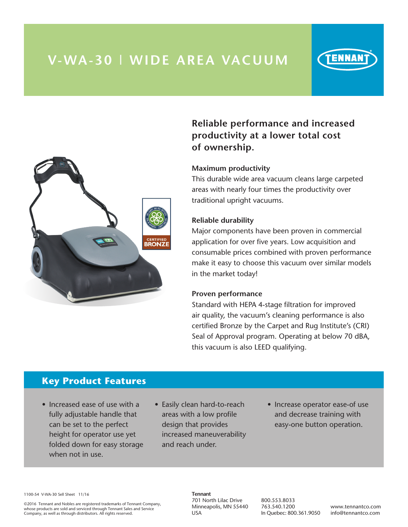## **V-WA-30 | WIDE AREA VACUUM**



## **Reliable performance and increased productivity at a lower total cost of ownership.**

### **Maximum productivity**

This durable wide area vacuum cleans large carpeted areas with nearly four times the productivity over traditional upright vacuums.

#### **Reliable durability**

Major components have been proven in commercial application for over five years. Low acquisition and consumable prices combined with proven performance make it easy to choose this vacuum over similar models in the market today!

#### **Proven performance**

Standard with HEPA 4-stage filtration for improved air quality, the vacuum's cleaning performance is also certified Bronze by the Carpet and Rug Institute's (CRI) Seal of Approval program. Operating at below 70 dBA, this vacuum is also LEED qualifying.

### **Key Product Features**

- Increased ease of use with a fully adjustable handle that can be set to the perfect height for operator use yet folded down for easy storage when not in use.
- Easily clean hard-to-reach areas with a low profile design that provides increased maneuverability and reach under.
- Increase operator ease-of use and decrease training with easy-one button operation.

1100-54 V-WA-30 Sell Sheet 11/16

©2016 Tennant and Nobles are registered trademarks of Tennant Company, whose products are sold and serviced through Tennant Sales and Service Company, as well as through distributors. All rights reserved.

#### **Tennant** 701 North Lilac Drive Minneapolis, MN 55440 USA

800.553.8033 763.540.1200 In Quebec: 800.361.9050

www.tennantco.com info@tennantco.com